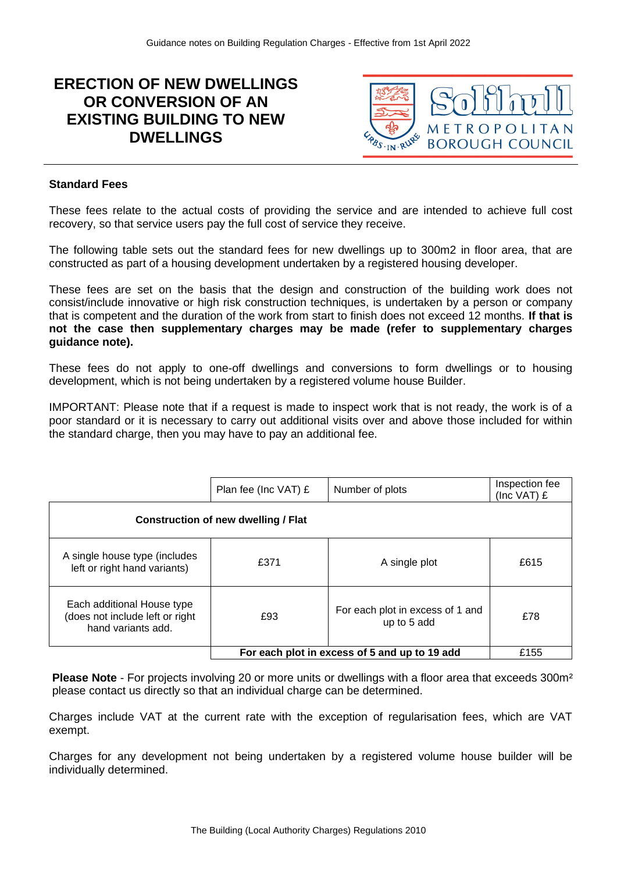# **ERECTION OF NEW DWELLINGS OR CONVERSION OF AN EXISTING BUILDING TO NEW DWELLINGS**



### **Standard Fees**

These fees relate to the actual costs of providing the service and are intended to achieve full cost recovery, so that service users pay the full cost of service they receive.

The following table sets out the standard fees for new dwellings up to 300m2 in floor area, that are constructed as part of a housing development undertaken by a registered housing developer.

These fees are set on the basis that the design and construction of the building work does not consist/include innovative or high risk construction techniques, is undertaken by a person or company that is competent and the duration of the work from start to finish does not exceed 12 months*.* **If that is not the case then supplementary charges may be made (refer to supplementary charges guidance note).**

These fees do not apply to one-off dwellings and conversions to form dwellings or to housing development, which is not being undertaken by a registered volume house Builder.

IMPORTANT: Please note that if a request is made to inspect work that is not ready, the work is of a poor standard or it is necessary to carry out additional visits over and above those included for within the standard charge, then you may have to pay an additional fee.

|                                                                                     | Plan fee (Inc VAT) £                          | Number of plots                                 | Inspection fee<br>(Inc $VAT$ ) £ |  |
|-------------------------------------------------------------------------------------|-----------------------------------------------|-------------------------------------------------|----------------------------------|--|
| Construction of new dwelling / Flat                                                 |                                               |                                                 |                                  |  |
| A single house type (includes<br>left or right hand variants)                       | £371                                          | A single plot                                   | £615                             |  |
| Each additional House type<br>(does not include left or right<br>hand variants add. | £93                                           | For each plot in excess of 1 and<br>up to 5 add | £78                              |  |
|                                                                                     | For each plot in excess of 5 and up to 19 add |                                                 | £155                             |  |

**Please Note** - For projects involving 20 or more units or dwellings with a floor area that exceeds 300m² please contact us directly so that an individual charge can be determined.

Charges include VAT at the current rate with the exception of regularisation fees, which are VAT exempt.

Charges for any development not being undertaken by a registered volume house builder will be individually determined.